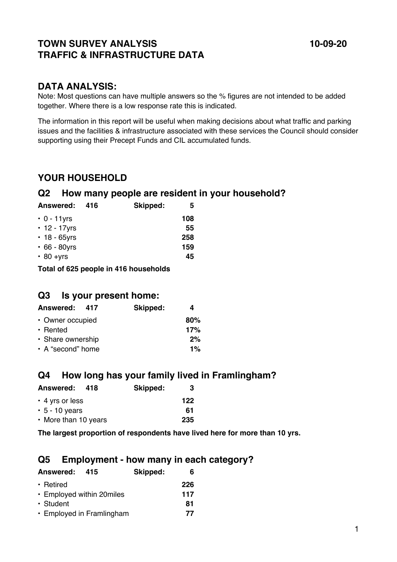# **TOWN SURVEY ANALYSIS 10-09-20 TRAFFIC & INFRASTRUCTURE DATA**

Note: Most questions can have multiple answers so the % figures are not intended to be added together. Where there is a low response rate this is indicated.

The information in this report will be useful when making decisions about what traffic and parking issues and the facilities & infrastructure associated with these services the Council should consider supporting using their Precept Funds and CIL accumulated funds.

# **YOUR HOUSEHOLD**

# **Q2 How many people are resident in your household?**

| Answered:          | 416 | Skipped: | 5   |
|--------------------|-----|----------|-----|
| $\cdot$ 0 - 11yrs  |     |          | 108 |
| • 12 - 17 yrs      |     |          | 55  |
| $\cdot$ 18 - 65yrs |     |          | 258 |
| $\cdot$ 66 - 80yrs |     |          | 159 |
| $\cdot$ 80 +yrs    |     |          | 45  |
|                    |     |          |     |

**Total of 625 people in 416 households** 

# **Q3 Is your present home:**

| Answered: 417     | Skipped: |       |
|-------------------|----------|-------|
| • Owner occupied  |          | 80%   |
|                   |          | 17%   |
| • Share ownership |          | 2%    |
| • A "second" home |          | $1\%$ |
|                   |          |       |

# **Q4 How long has your family lived in Framlingham?**

| <b>Answered:</b><br>418 | Skipped: | З   |
|-------------------------|----------|-----|
| $\cdot$ 4 yrs or less   |          | 122 |
| $\cdot$ 5 - 10 years    |          | 61  |
| • More than 10 years    |          | 235 |

**The largest proportion of respondents have lived here for more than 10 yrs.** 

# **Q5 Employment - how many in each category?**

| <b>Answered:</b><br>415   | Skipped: |     |
|---------------------------|----------|-----|
| • Retired                 |          | 226 |
| • Employed within 20miles |          | 117 |
| • Student                 |          | 81  |
| • Employed in Framlingham |          | 77  |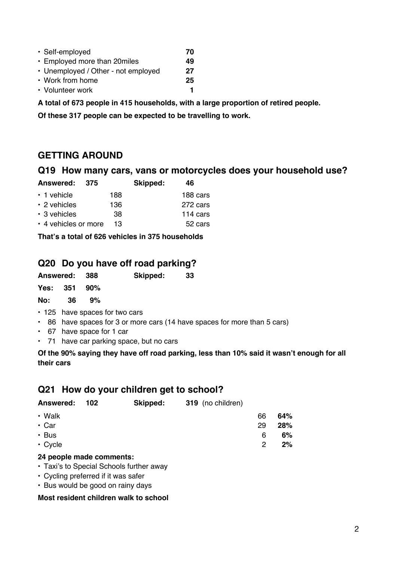| • Self-employed                     | 70 |
|-------------------------------------|----|
| • Employed more than 20miles        | 49 |
| • Unemployed / Other - not employed | 27 |
| • Work from home                    | 25 |
| • Volunteer work                    |    |
|                                     |    |

**A total of 673 people in 415 households, with a large proportion of retired people.** 

**Of these 317 people can be expected to be travelling to work.** 

# **GETTING AROUND**

## **Q19 How many cars, vans or motorcycles does your household use?**

| Answered:            | 375 | Skipped: | 46       |
|----------------------|-----|----------|----------|
| $\cdot$ 1 vehicle    | 188 |          | 188 cars |
| $\cdot$ 2 vehicles   | 136 |          | 272 cars |
| $\cdot$ 3 vehicles   | 38  |          | 114 cars |
| • 4 vehicles or more | 13  |          | 52 cars  |

**That's a total of 626 vehicles in 375 households** 

# **Q20 Do you have off road parking?**

| Skipped: | 33 |
|----------|----|
|          |    |

| Yes: | 351 | 90% |
|------|-----|-----|
| No:  | 36  | 9%  |

- 125 have spaces for two cars
- 86 have spaces for 3 or more cars (14 have spaces for more than 5 cars)
- 67 have space for 1 car
- 71 have car parking space, but no cars

**Of the 90% saying they have off road parking, less than 10% said it wasn't enough for all their cars** 

# **Q21 How do your children get to school?**

| <b>Answered:</b> | - 102 | Skipped: | 319 (no children) |    |       |
|------------------|-------|----------|-------------------|----|-------|
| • Walk           |       |          |                   | 66 | 64%   |
| $\cdot$ Car      |       |          |                   | 29 | 28%   |
| • Bus            |       |          |                   | 6  | $6\%$ |
| $\cdot$ Cycle    |       |          |                   | 2  | $2\%$ |

## **24 people made comments:**

- Taxi's to Special Schools further away
- Cycling preferred if it was safer
- Bus would be good on rainy days

## **Most resident children walk to school**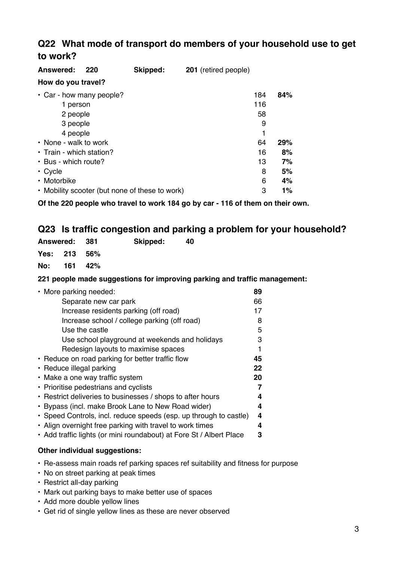# **Q22 What mode of transport do members of your household use to get to work?**

| Answered:<br>220<br>How do you travel?         | Skipped: | 201 (retired people) |     |       |
|------------------------------------------------|----------|----------------------|-----|-------|
| $\cdot$ Car - how many people?                 |          |                      | 184 | 84%   |
| 1 person                                       |          |                      | 116 |       |
| 2 people                                       |          |                      | 58  |       |
| 3 people                                       |          |                      | 9   |       |
| 4 people                                       |          |                      | 1   |       |
| • None - walk to work                          |          |                      | 64  | 29%   |
| • Train - which station?                       |          |                      | 16  | 8%    |
| • Bus - which route?                           |          |                      | 13  | 7%    |
| $\cdot$ Cycle                                  |          |                      | 8   | 5%    |
| • Motorbike                                    |          |                      | 6   | 4%    |
| • Mobility scooter (but none of these to work) |          |                      | 3   | $1\%$ |

**Of the 220 people who travel to work 184 go by car - 116 of them on their own.** 

# **Q23 Is traffic congestion and parking a problem for your household?**

| Answered: 381 |              | Skipped:                                                  | 40 |
|---------------|--------------|-----------------------------------------------------------|----|
|               | Yes: 213 56% |                                                           |    |
|               | No: 161 42%  |                                                           |    |
|               |              | . AAd are radio are de processed based fra because dans a |    |

### **221 people made suggestions for improving parking and traffic management:**

| • More parking needed:                                              | 89 |
|---------------------------------------------------------------------|----|
| Separate new car park                                               | 66 |
| Increase residents parking (off road)                               | 17 |
| Increase school / college parking (off road)                        | 8  |
| Use the castle                                                      | 5  |
| Use school playground at weekends and holidays                      | 3  |
| Redesign layouts to maximise spaces                                 |    |
| • Reduce on road parking for better traffic flow                    | 45 |
| • Reduce illegal parking                                            | 22 |
| • Make a one way traffic system                                     | 20 |
| • Prioritise pedestrians and cyclists                               |    |
| • Restrict deliveries to businesses / shops to after hours          | 4  |
| • Bypass (incl. make Brook Lane to New Road wider)                  | 4  |
| • Speed Controls, incl. reduce speeds (esp. up through to castle)   | 4  |
| • Align overnight free parking with travel to work times            | 4  |
| • Add traffic lights (or mini roundabout) at Fore St / Albert Place | 3  |
|                                                                     |    |

## **Other individual suggestions:**

- Re-assess main roads ref parking spaces ref suitability and fitness for purpose
- No on street parking at peak times
- Restrict all-day parking
- Mark out parking bays to make better use of spaces
- Add more double yellow lines
- Get rid of single yellow lines as these are never observed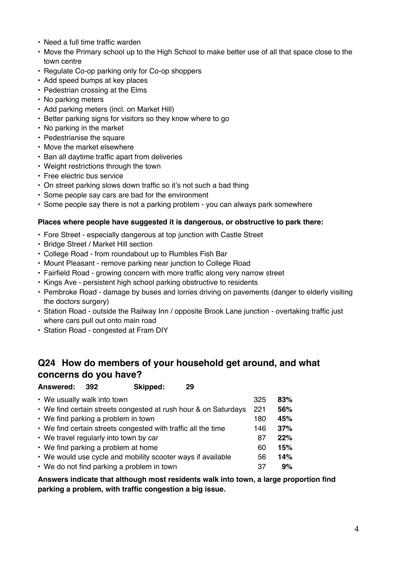- Need a full time traffic warden
- Move the Primary school up to the High School to make better use of all that space close to the town centre
- Regulate Co-op parking only for Co-op shoppers
- Add speed bumps at key places
- Pedestrian crossing at the Elms
- No parking meters
- Add parking meters (incl. on Market Hill)
- Better parking signs for visitors so they know where to go
- No parking in the market
- Pedestrianise the square
- Move the market elsewhere
- Ban all daytime traffic apart from deliveries
- Weight restrictions through the town
- Free electric bus service
- On street parking slows down traffic so it's not such a bad thing
- Some people say cars are bad for the environment
- Some people say there is not a parking problem you can always park somewhere

#### **Places where people have suggested it is dangerous, or obstructive to park there:**

- Fore Street especially dangerous at top junction with Castle Street
- Bridge Street / Market Hill section
- College Road from roundabout up to Rumbles Fish Bar
- Mount Pleasant remove parking near junction to College Road
- Fairfield Road growing concern with more traffic along very narrow street
- Kings Ave persistent high school parking obstructive to residents
- Pembroke Road damage by buses and lorries driving on pavements (danger to elderly visiting the doctors surgery)
- Station Road outside the Railway Inn / opposite Brook Lane junction overtaking traffic just where cars pull out onto main road
- Station Road congested at Fram DIY

# **Q24 How do members of your household get around, and what concerns do you have?**

**Answered: 392 Skipped: 29** 

| • We usually walk into town                                     | 325 | 83% |
|-----------------------------------------------------------------|-----|-----|
| • We find certain streets congested at rush hour & on Saturdays | 221 | 56% |
| • We find parking a problem in town                             | 180 | 45% |
| • We find certain streets congested with traffic all the time   | 146 | 37% |
| • We travel regularly into town by car                          | 87  | 22% |
| • We find parking a problem at home                             | 60  | 15% |
| • We would use cycle and mobility scooter ways if available     | 56  | 14% |
| • We do not find parking a problem in town                      | 37  | 9%  |

**Answers indicate that although most residents walk into town, a large proportion find parking a problem, with traffic congestion a big issue.**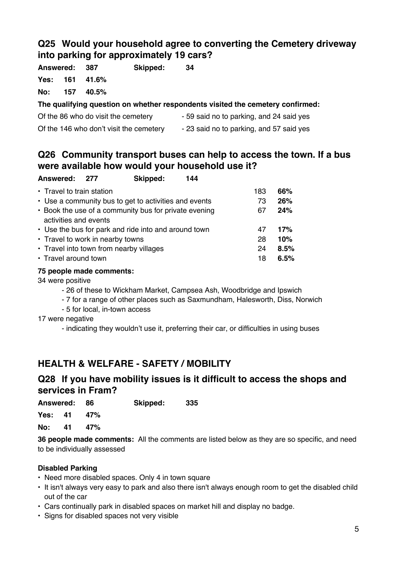# **Q25 Would your household agree to converting the Cemetery driveway into parking for approximately 19 cars?**

**Answered: 387 Skipped: 34** 

**Yes: 161 41.6%** 

**No: 157 40.5%** 

# **The qualifying question on whether respondents visited the cemetery confirmed:**

Of the 86 who do visit the cemetery - 59 said no to parking, and 24 said yes Of the 146 who don't visit the cemetery - 23 said no to parking, and 57 said yes

# **Q26 Community transport buses can help to access the town. If a bus were available how would your household use it?**

| Answered: 277                    | Skipped:                                              | 144 |     |      |
|----------------------------------|-------------------------------------------------------|-----|-----|------|
| • Travel to train station        |                                                       |     | 183 | 66%  |
|                                  | • Use a community bus to get to activities and events |     | 73  | 26%  |
| activities and events            | • Book the use of a community bus for private evening |     | 67  | 24%  |
|                                  | • Use the bus for park and ride into and around town  |     | 47  | 17%  |
| • Travel to work in nearby towns |                                                       |     | 28  | 10%  |
|                                  | • Travel into town from nearby villages               |     | 24  | 8.5% |
| • Travel around town             |                                                       |     | 18  | 6.5% |

## **75 people made comments:**

34 were positive

- 26 of these to Wickham Market, Campsea Ash, Woodbridge and Ipswich
- 7 for a range of other places such as Saxmundham, Halesworth, Diss, Norwich
- 5 for local, in-town access

17 were negative

- indicating they wouldn't use it, preferring their car, or difficulties in using buses

# **HEALTH & WELFARE - SAFETY / MOBILITY**

# **Q28 If you have mobility issues is it difficult to access the shops and services in Fram?**

**Answered: 86 Skipped: 335** 

**Yes: 41 47%** 

**No: 41 47%** 

**36 people made comments:** All the comments are listed below as they are so specific, and need to be individually assessed

## **Disabled Parking**

- Need more disabled spaces. Only 4 in town square
- It isn't always very easy to park and also there isn't always enough room to get the disabled child out of the car
- Cars continually park in disabled spaces on market hill and display no badge.
- Signs for disabled spaces not very visible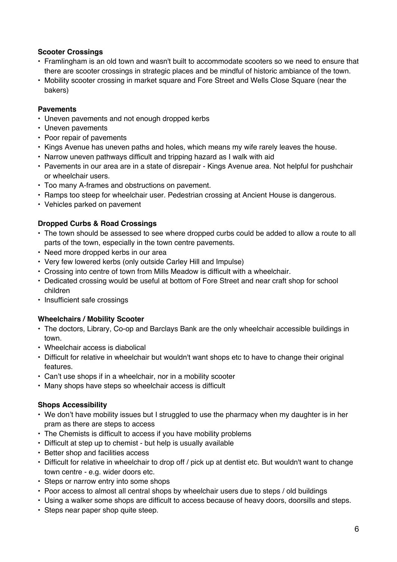## **Scooter Crossings**

- Framlingham is an old town and wasn't built to accommodate scooters so we need to ensure that there are scooter crossings in strategic places and be mindful of historic ambiance of the town.
- Mobility scooter crossing in market square and Fore Street and Wells Close Square (near the bakers)

## **Pavements**

- Uneven pavements and not enough dropped kerbs
- Uneven pavements
- Poor repair of pavements
- Kings Avenue has uneven paths and holes, which means my wife rarely leaves the house.
- Narrow uneven pathways difficult and tripping hazard as I walk with aid
- Pavements in our area are in a state of disrepair Kings Avenue area. Not helpful for pushchair or wheelchair users.
- Too many A-frames and obstructions on pavement.
- Ramps too steep for wheelchair user. Pedestrian crossing at Ancient House is dangerous.
- Vehicles parked on pavement

### **Dropped Curbs & Road Crossings**

- The town should be assessed to see where dropped curbs could be added to allow a route to all parts of the town, especially in the town centre pavements.
- Need more dropped kerbs in our area
- Very few lowered kerbs (only outside Carley Hill and Impulse)
- Crossing into centre of town from Mills Meadow is difficult with a wheelchair.
- Dedicated crossing would be useful at bottom of Fore Street and near craft shop for school children
- Insufficient safe crossings

## **Wheelchairs / Mobility Scooter**

- The doctors, Library, Co-op and Barclays Bank are the only wheelchair accessible buildings in town.
- Wheelchair access is diabolical
- Difficult for relative in wheelchair but wouldn't want shops etc to have to change their original features.
- Can't use shops if in a wheelchair, nor in a mobility scooter
- Many shops have steps so wheelchair access is difficult

## **Shops Accessibility**

- We don't have mobility issues but I struggled to use the pharmacy when my daughter is in her pram as there are steps to access
- The Chemists is difficult to access if you have mobility problems
- Difficult at step up to chemist but help is usually available
- Better shop and facilities access
- Difficult for relative in wheelchair to drop off / pick up at dentist etc. But wouldn't want to change town centre - e.g. wider doors etc.
- Steps or narrow entry into some shops
- Poor access to almost all central shops by wheelchair users due to steps / old buildings
- Using a walker some shops are difficult to access because of heavy doors, doorsills and steps.
- Steps near paper shop quite steep.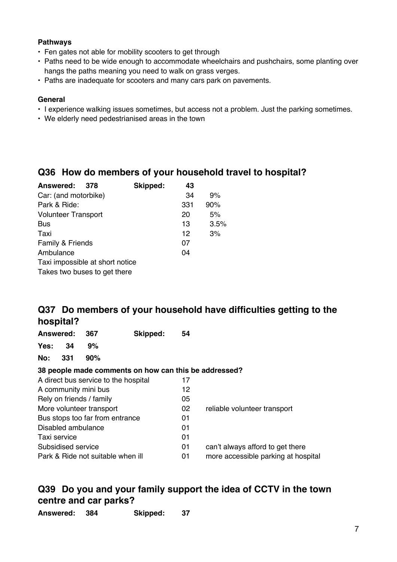## **Pathways**

- Fen gates not able for mobility scooters to get through
- Paths need to be wide enough to accommodate wheelchairs and pushchairs, some planting over hangs the paths meaning you need to walk on grass verges.
- Paths are inadequate for scooters and many cars park on pavements.

### **General**

- I experience walking issues sometimes, but access not a problem. Just the parking sometimes.
- We elderly need pedestrianised areas in the town

# **Q36 How do members of your household travel to hospital?**

| <b>Answered:</b><br>378         | Skipped: | 43  |      |
|---------------------------------|----------|-----|------|
| Car: (and motorbike)            |          | 34  | 9%   |
| Park & Ride:                    |          | 331 | 90%  |
| <b>Volunteer Transport</b>      |          | 20  | 5%   |
| <b>Bus</b>                      |          | 13  | 3.5% |
| Taxi                            |          | 12  | 3%   |
| Family & Friends                |          | 07  |      |
| Ambulance                       |          | 04  |      |
| Taxi impossible at short notice |          |     |      |
| Takes two buses to get there    |          |     |      |
|                                 |          |     |      |

# **Q37 Do members of your household have difficulties getting to the hospital?**

| Answered:                         |     | 367 | Skipped:                                              | 54                                  |                                  |
|-----------------------------------|-----|-----|-------------------------------------------------------|-------------------------------------|----------------------------------|
| Yes:                              | 34  | 9%  |                                                       |                                     |                                  |
| No:                               | 331 | 90% |                                                       |                                     |                                  |
|                                   |     |     | 38 people made comments on how can this be addressed? |                                     |                                  |
|                                   |     |     | A direct bus service to the hospital                  | 17                                  |                                  |
| A community mini bus              |     |     |                                                       | 12                                  |                                  |
| Rely on friends / family          |     |     |                                                       | 05                                  |                                  |
| More volunteer transport          |     |     | 02                                                    | reliable volunteer transport        |                                  |
| Bus stops too far from entrance   |     |     | 01                                                    |                                     |                                  |
| Disabled ambulance                |     |     | 01                                                    |                                     |                                  |
| Taxi service                      |     |     |                                                       | 01                                  |                                  |
| Subsidised service                |     |     |                                                       | 01                                  | can't always afford to get there |
| Park & Ride not suitable when ill |     |     | 01                                                    | more accessible parking at hospital |                                  |

# **Q39 Do you and your family support the idea of CCTV in the town centre and car parks?**

| Answered: | 384 |          | 37 |
|-----------|-----|----------|----|
|           |     | Skipped: |    |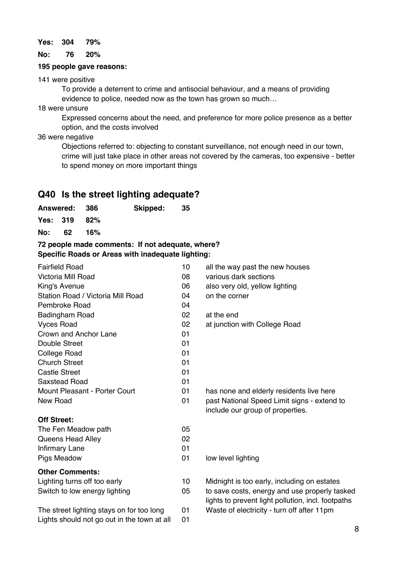#### **Yes: 304 79%**

**No: 76 20%** 

#### **195 people gave reasons:**

141 were positive

To provide a deterrent to crime and antisocial behaviour, and a means of providing evidence to police, needed now as the town has grown so much…

18 were unsure

Expressed concerns about the need, and preference for more police presence as a better option, and the costs involved

36 were negative

Objections referred to: objecting to constant surveillance, not enough need in our town, crime will just take place in other areas not covered by the cameras, too expensive - better to spend money on more important things

# **Q40 Is the street lighting adequate?**

| Answered: 386 |              |     | Skipped: | - 35 |
|---------------|--------------|-----|----------|------|
|               | Yes: 319 82% |     |          |      |
| No: 62        |              | 16% |          |      |

## **72 people made comments: If not adequate, where? Specific Roads or Areas with inadequate lighting:**

| <b>Fairfield Road</b>                       | 10 | all the way past the new houses                                                                     |
|---------------------------------------------|----|-----------------------------------------------------------------------------------------------------|
| Victoria Mill Road                          | 08 | various dark sections                                                                               |
| King's Avenue                               | 06 | also very old, yellow lighting                                                                      |
| Station Road / Victoria Mill Road           | 04 | on the corner                                                                                       |
| Pembroke Road                               | 04 |                                                                                                     |
| Badingham Road                              | 02 | at the end                                                                                          |
| <b>Vyces Road</b>                           | 02 | at junction with College Road                                                                       |
| Crown and Anchor Lane                       | 01 |                                                                                                     |
| Double Street                               | 01 |                                                                                                     |
| <b>College Road</b>                         | 01 |                                                                                                     |
| <b>Church Street</b>                        | 01 |                                                                                                     |
| <b>Castle Street</b>                        | 01 |                                                                                                     |
| <b>Saxstead Road</b>                        | 01 |                                                                                                     |
| Mount Pleasant - Porter Court               | 01 | has none and elderly residents live here                                                            |
| New Road                                    | 01 | past National Speed Limit signs - extend to                                                         |
|                                             |    | include our group of properties.                                                                    |
| <b>Off Street:</b>                          |    |                                                                                                     |
| The Fen Meadow path                         | 05 |                                                                                                     |
| Queens Head Alley                           | 02 |                                                                                                     |
| <b>Infirmary Lane</b>                       | 01 |                                                                                                     |
| Pigs Meadow                                 | 01 | low level lighting                                                                                  |
| <b>Other Comments:</b>                      |    |                                                                                                     |
| Lighting turns off too early                | 10 | Midnight is too early, including on estates                                                         |
| Switch to low energy lighting               | 05 | to save costs, energy and use properly tasked<br>lights to prevent light pollution, incl. footpaths |
| The street lighting stays on for too long   | 01 | Waste of electricity - turn off after 11pm                                                          |
| Lights should not go out in the town at all | 01 |                                                                                                     |
|                                             |    | ۶                                                                                                   |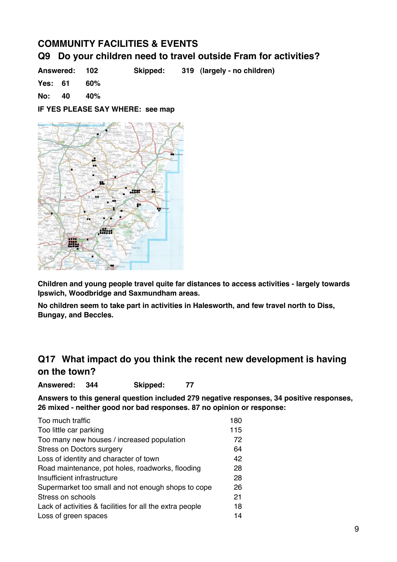# **COMMUNITY FACILITIES & EVENTS**

# **Q9 Do your children need to travel outside Fram for activities?**

**Answered: 102 Skipped: 319 (largely - no children)** 

**Yes: 61 60%**

**No: 40 40%** 

**IF YES PLEASE SAY WHERE: see map** 



**Children and young people travel quite far distances to access activities - largely towards Ipswich, Woodbridge and Saxmundham areas.** 

**No children seem to take part in activities in Halesworth, and few travel north to Diss, Bungay, and Beccles.** 

# **Q17 What impact do you think the recent new development is having on the town?**

**Answered: 344 Skipped: 77** 

**Answers to this general question included 279 negative responses, 34 positive responses, 26 mixed - neither good nor bad responses. 87 no opinion or response:** 

| Too much traffic                                         | 180 |
|----------------------------------------------------------|-----|
| Too little car parking                                   | 115 |
| Too many new houses / increased population               | 72  |
| <b>Stress on Doctors surgery</b>                         | 64  |
| Loss of identity and character of town                   | 42  |
| Road maintenance, pot holes, roadworks, flooding         | 28  |
| Insufficient infrastructure                              | 28  |
| Supermarket too small and not enough shops to cope       | 26  |
| Stress on schools                                        | 21  |
| Lack of activities & facilities for all the extra people | 18  |
| Loss of green spaces                                     | 14  |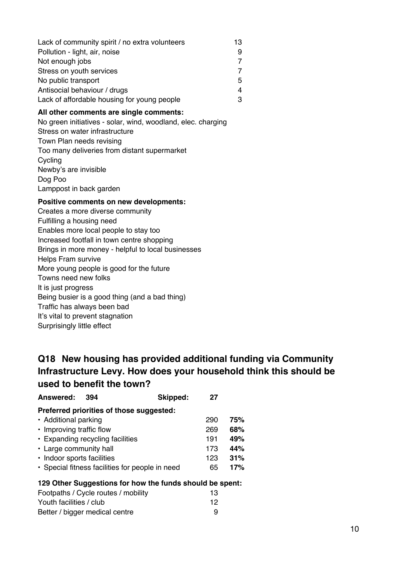| Lack of community spirit / no extra volunteers | 13 |
|------------------------------------------------|----|
| Pollution - light, air, noise                  |    |
| Not enough jobs                                |    |
| Stress on youth services                       |    |
| No public transport                            | 5  |
| Antisocial behaviour / drugs                   | 4  |
| Lack of affordable housing for young people    |    |

## **All other comments are single comments:**

No green initiatives - solar, wind, woodland, elec. charging Stress on water infrastructure Town Plan needs revising Too many deliveries from distant supermarket Cycling Newby's are invisible Dog Poo Lamppost in back garden

#### **Positive comments on new developments:**

Creates a more diverse community Fulfilling a housing need Enables more local people to stay too Increased footfall in town centre shopping Brings in more money - helpful to local businesses Helps Fram survive More young people is good for the future Towns need new folks It is just progress Being busier is a good thing (and a bad thing) Traffic has always been bad It's vital to prevent stagnation Surprisingly little effect

# **Q18 New housing has provided additional funding via Community Infrastructure Levy. How does your household think this should be used to benefit the town?**

| <b>Answered:</b>                 | 394 | Skipped:                                        | 27  |     |
|----------------------------------|-----|-------------------------------------------------|-----|-----|
|                                  |     | Preferred priorities of those suggested:        |     |     |
| • Additional parking             |     |                                                 | 290 | 75% |
| • Improving traffic flow         |     |                                                 | 269 | 68% |
| • Expanding recycling facilities |     |                                                 | 191 | 49% |
| • Large community hall           |     |                                                 | 173 | 44% |
| • Indoor sports facilities       |     |                                                 | 123 | 31% |
|                                  |     | • Special fitness facilities for people in need | 65  | 17% |
|                                  |     |                                                 |     |     |

#### **129 Other Suggestions for how the funds should be spent:**

| Footpaths / Cycle routes / mobility | 13 |
|-------------------------------------|----|
| Youth facilities / club             | 12 |
| Better / bigger medical centre      | 9  |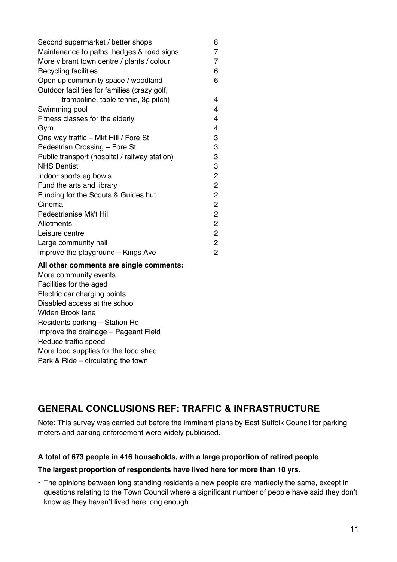| Second supermarket / better shops             | 8              |
|-----------------------------------------------|----------------|
| Maintenance to paths, hedges & road signs     | 7              |
| More vibrant town centre / plants / colour    | 7              |
| Recycling facilities                          | 6              |
| Open up community space / woodland            | 6              |
| Outdoor facilities for families (crazy golf,  |                |
| trampoline, table tennis, 3g pitch)           | 4              |
| Swimming pool                                 | 4              |
| Fitness classes for the elderly               | 4              |
| Gym                                           | 4              |
| One way traffic - Mkt Hill / Fore St          | 3              |
| Pedestrian Crossing - Fore St                 | 3              |
| Public transport (hospital / railway station) | 3              |
| <b>NHS Dentist</b>                            | 3              |
| Indoor sports eg bowls                        | 2              |
| Fund the arts and library                     | $\overline{c}$ |
| Funding for the Scouts & Guides hut           | 2              |
| Cinema                                        | 2              |
| Pedestrianise Mk't Hill                       | $\overline{c}$ |
| Allotments                                    | $\overline{c}$ |
| Leisure centre                                | $\overline{c}$ |
| Large community hall                          | $\overline{c}$ |
| Improve the playground – Kings Ave            | 2              |

#### **All other comments are single comments:**

More community events Facilities for the aged Electric car charging points Disabled access at the school Widen Brook lane Residents parking – Station Rd Improve the drainage – Pageant Field Reduce traffic speed More food supplies for the food shed Park & Ride – circulating the town

# **GENERAL CONCLUSIONS REF: TRAFFIC & INFRASTRUCTURE**

Note: This survey was carried out before the imminent plans by East Suffolk Council for parking meters and parking enforcement were widely publicised.

## **A total of 673 people in 416 households, with a large proportion of retired people**

## **The largest proportion of respondents have lived here for more than 10 yrs.**

• The opinions between long standing residents a new people are markedly the same, except in questions relating to the Town Council where a significant number of people have said they don't know as they haven't lived here long enough.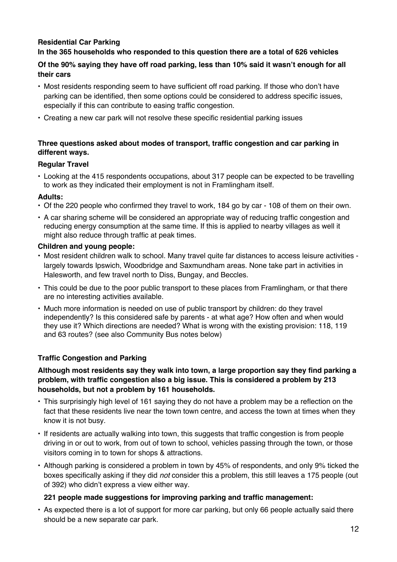# **Residential Car Parking**

## **In the 365 households who responded to this question there are a total of 626 vehicles**

## **Of the 90% saying they have off road parking, less than 10% said it wasn't enough for all their cars**

- Most residents responding seem to have sufficient off road parking. If those who don't have parking can be identified, then some options could be considered to address specific issues, especially if this can contribute to easing traffic congestion.
- Creating a new car park will not resolve these specific residential parking issues

### **Three questions asked about modes of transport, traffic congestion and car parking in different ways.**

### **Regular Travel**

• Looking at the 415 respondents occupations, about 317 people can be expected to be travelling to work as they indicated their employment is not in Framlingham itself.

### **Adults:**

- Of the 220 people who confirmed they travel to work, 184 go by car 108 of them on their own.
- A car sharing scheme will be considered an appropriate way of reducing traffic congestion and reducing energy consumption at the same time. If this is applied to nearby villages as well it might also reduce through traffic at peak times.

### **Children and young people:**

- Most resident children walk to school. Many travel quite far distances to access leisure activities largely towards Ipswich, Woodbridge and Saxmundham areas. None take part in activities in Halesworth, and few travel north to Diss, Bungay, and Beccles.
- This could be due to the poor public transport to these places from Framlingham, or that there are no interesting activities available.
- Much more information is needed on use of public transport by children: do they travel independently? Is this considered safe by parents - at what age? How often and when would they use it? Which directions are needed? What is wrong with the existing provision: 118, 119 and 63 routes? (see also Community Bus notes below)

## **Traffic Congestion and Parking**

### **Although most residents say they walk into town, a large proportion say they find parking a problem, with traffic congestion also a big issue. This is considered a problem by 213 households, but not a problem by 161 households.**

- This surprisingly high level of 161 saying they do not have a problem may be a reflection on the fact that these residents live near the town town centre, and access the town at times when they know it is not busy.
- If residents are actually walking into town, this suggests that traffic congestion is from people driving in or out to work, from out of town to school, vehicles passing through the town, or those visitors coming in to town for shops & attractions.
- Although parking is considered a problem in town by 45% of respondents, and only 9% ticked the boxes specifically asking if they did *not* consider this a problem, this still leaves a 175 people (out of 392) who didn't express a view either way.

## **221 people made suggestions for improving parking and traffic management:**

• As expected there is a lot of support for more car parking, but only 66 people actually said there should be a new separate car park.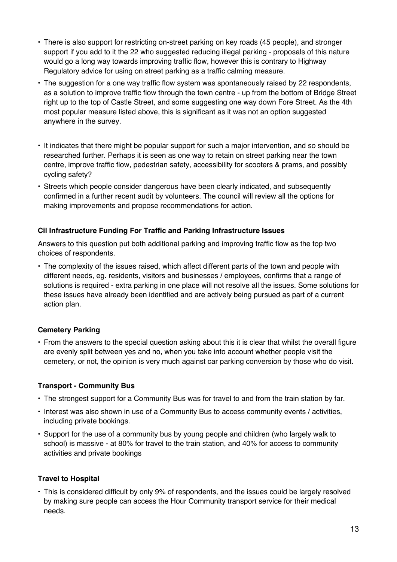- There is also support for restricting on-street parking on key roads (45 people), and stronger support if you add to it the 22 who suggested reducing illegal parking - proposals of this nature would go a long way towards improving traffic flow, however this is contrary to Highway Regulatory advice for using on street parking as a traffic calming measure.
- The suggestion for a one way traffic flow system was spontaneously raised by 22 respondents, as a solution to improve traffic flow through the town centre - up from the bottom of Bridge Street right up to the top of Castle Street, and some suggesting one way down Fore Street. As the 4th most popular measure listed above, this is significant as it was not an option suggested anywhere in the survey.
- It indicates that there might be popular support for such a major intervention, and so should be researched further. Perhaps it is seen as one way to retain on street parking near the town centre, improve traffic flow, pedestrian safety, accessibility for scooters & prams, and possibly cycling safety?
- Streets which people consider dangerous have been clearly indicated, and subsequently confirmed in a further recent audit by volunteers. The council will review all the options for making improvements and propose recommendations for action.

## **Cil Infrastructure Funding For Traffic and Parking Infrastructure Issues**

Answers to this question put both additional parking and improving traffic flow as the top two choices of respondents.

• The complexity of the issues raised, which affect different parts of the town and people with different needs, eg. residents, visitors and businesses / employees, confirms that a range of solutions is required - extra parking in one place will not resolve all the issues. Some solutions for these issues have already been identified and are actively being pursued as part of a current action plan.

# **Cemetery Parking**

• From the answers to the special question asking about this it is clear that whilst the overall figure are evenly split between yes and no, when you take into account whether people visit the cemetery, or not, the opinion is very much against car parking conversion by those who do visit.

## **Transport - Community Bus**

- The strongest support for a Community Bus was for travel to and from the train station by far.
- Interest was also shown in use of a Community Bus to access community events / activities, including private bookings.
- Support for the use of a community bus by young people and children (who largely walk to school) is massive - at 80% for travel to the train station, and 40% for access to community activities and private bookings

## **Travel to Hospital**

• This is considered difficult by only 9% of respondents, and the issues could be largely resolved by making sure people can access the Hour Community transport service for their medical needs.